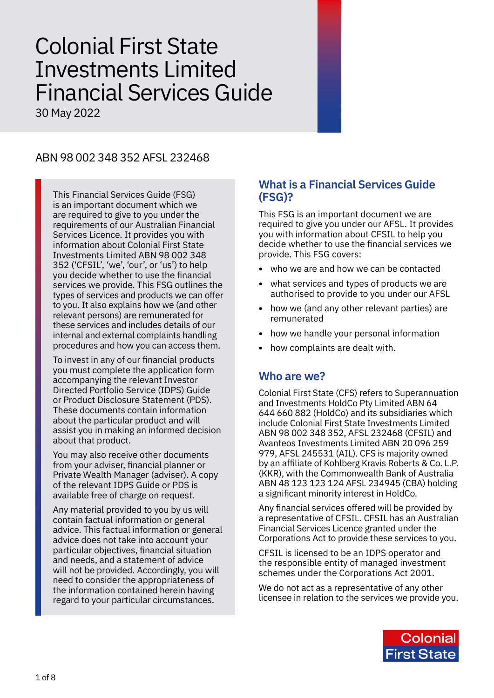# Colonial First State Investments Limited Financial Services Guide

30 May 2022

# ABN 98 002 348 352 AFSL 232468

This Financial Services Guide (FSG) is an important document which we are required to give to you under the requirements of our Australian Financial Services Licence. It provides you with information about Colonial First State Investments Limited ABN 98 002 348 352 ('CFSIL', 'we', 'our', or 'us') to help you decide whether to use the financial services we provide. This FSG outlines the types of services and products we can offer to you. It also explains how we (and other relevant persons) are remunerated for these services and includes details of our internal and external complaints handling procedures and how you can access them.

To invest in any of our financial products you must complete the application form accompanying the relevant Investor Directed Portfolio Service (IDPS) Guide or Product Disclosure Statement (PDS). These documents contain information about the particular product and will assist you in making an informed decision about that product.

You may also receive other documents from your adviser, financial planner or Private Wealth Manager (adviser). A copy of the relevant IDPS Guide or PDS is available free of charge on request.

Any material provided to you by us will contain factual information or general advice. This factual information or general advice does not take into account your particular objectives, financial situation and needs, and a statement of advice will not be provided. Accordingly, you will need to consider the appropriateness of the information contained herein having regard to your particular circumstances.

## **What is a Financial Services Guide (FSG)?**

This FSG is an important document we are required to give you under our AFSL. It provides you with information about CFSIL to help you decide whether to use the financial services we provide. This FSG covers:

- **•** who we are and how we can be contacted
- **•** what services and types of products we are authorised to provide to you under our AFSL
- **•** how we (and any other relevant parties) are remunerated
- **•** how we handle your personal information
- **•** how complaints are dealt with.

## **Who are we?**

Colonial First State (CFS) refers to Superannuation and Investments HoldCo Pty Limited ABN 64 644 660 882 (HoldCo) and its subsidiaries which include Colonial First State Investments Limited ABN 98 002 348 352, AFSL 232468 (CFSIL) and Avanteos Investments Limited ABN 20 096 259 979, AFSL 245531 (AIL). CFS is majority owned by an affiliate of Kohlberg Kravis Roberts & Co. L.P. (KKR), with the Commonwealth Bank of Australia ABN 48 123 123 124 AFSL 234945 (CBA) holding a significant minority interest in HoldCo.

Any financial services offered will be provided by a representative of CFSIL. CFSIL has an Australian Financial Services Licence granted under the Corporations Act to provide these services to you.

CFSIL is licensed to be an IDPS operator and the responsible entity of managed investment schemes under the Corporations Act 2001.

We do not act as a representative of any other licensee in relation to the services we provide you.

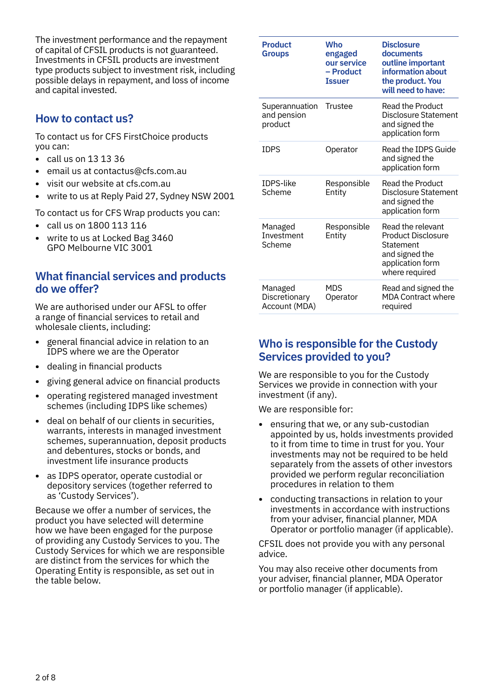The investment performance and the repayment of capital of CFSIL products is not guaranteed. Investments in CFSIL products are investment type products subject to investment risk, including possible delays in repayment, and loss of income and capital invested.

# **How to contact us?**

To contact us for CFS FirstChoice products you can:

- **•** call us on 13 13 36
- **•** email us at contactus@cfs.com.au
- **•** visit our website at cfs.com.au
- **•** write to us at Reply Paid 27, Sydney NSW 2001

To contact us for CFS Wrap products you can:

- **•** call us on 1800 113 116
- **•** write to us at Locked Bag 3460 GPO Melbourne VIC 3001

## **What financial services and products do we offer?**

We are authorised under our AFSL to offer a range of financial services to retail and wholesale clients, including:

- **•** general financial advice in relation to an IDPS where we are the Operator
- **•** dealing in financial products
- **•** giving general advice on financial products
- **•** operating registered managed investment schemes (including IDPS like schemes)
- **•** deal on behalf of our clients in securities, warrants, interests in managed investment schemes, superannuation, deposit products and debentures, stocks or bonds, and investment life insurance products
- **•** as IDPS operator, operate custodial or depository services (together referred to as 'Custody Services').

Because we offer a number of services, the product you have selected will determine how we have been engaged for the purpose of providing any Custody Services to you. The Custody Services for which we are responsible are distinct from the services for which the Operating Entity is responsible, as set out in the table below.

| <b>Product</b><br><b>Groups</b>           | <b>Who</b><br>engaged<br>our service<br>- Product<br><b>Issuer</b> | <b>Disclosure</b><br>documents<br>outline important<br>information about<br>the product. You<br>will need to have:  |
|-------------------------------------------|--------------------------------------------------------------------|---------------------------------------------------------------------------------------------------------------------|
| Superannuation<br>and pension<br>product  | Trustee                                                            | Read the Product<br>Disclosure Statement<br>and signed the<br>application form                                      |
| <b>IDPS</b>                               | Operator                                                           | Read the IDPS Guide<br>and signed the<br>application form                                                           |
| <b>IDPS-like</b><br>Scheme                | Responsible<br>Entity                                              | <b>Read the Product</b><br>Disclosure Statement<br>and signed the<br>application form                               |
| Managed<br>Investment<br>Scheme           | Responsible<br>Entity                                              | Read the relevant<br><b>Product Disclosure</b><br>Statement<br>and signed the<br>application form<br>where required |
| Managed<br>Discretionary<br>Account (MDA) | <b>MDS</b><br>Operator                                             | Read and signed the<br><b>MDA Contract where</b><br>required                                                        |

# **Who is responsible for the Custody Services provided to you?**

We are responsible to you for the Custody Services we provide in connection with your investment (if any).

We are responsible for:

- **•** ensuring that we, or any sub-custodian appointed by us, holds investments provided to it from time to time in trust for you. Your investments may not be required to be held separately from the assets of other investors provided we perform regular reconciliation procedures in relation to them
- **•** conducting transactions in relation to your investments in accordance with instructions from your adviser, financial planner, MDA Operator or portfolio manager (if applicable).

CFSIL does not provide you with any personal advice.

You may also receive other documents from your adviser, financial planner, MDA Operator or portfolio manager (if applicable).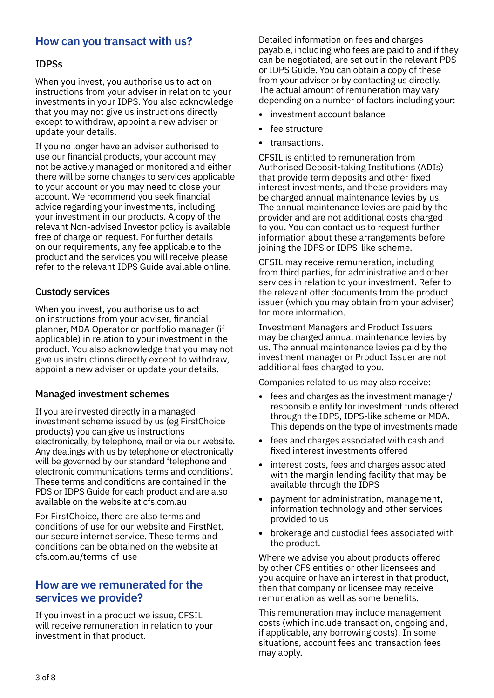## **How can you transact with us?**

#### IDPSs

When you invest, you authorise us to act on instructions from your adviser in relation to your investments in your IDPS. You also acknowledge that you may not give us instructions directly except to withdraw, appoint a new adviser or update your details.

If you no longer have an adviser authorised to use our financial products, your account may not be actively managed or monitored and either there will be some changes to services applicable to your account or you may need to close your account. We recommend you seek financial advice regarding your investments, including your investment in our products. A copy of the relevant Non-advised Investor policy is available free of charge on request. For further details on our requirements, any fee applicable to the product and the services you will receive please refer to the relevant IDPS Guide available online.

#### Custody services

When you invest, you authorise us to act on instructions from your adviser, financial planner, MDA Operator or portfolio manager (if applicable) in relation to your investment in the product. You also acknowledge that you may not give us instructions directly except to withdraw, appoint a new adviser or update your details.

#### Managed investment schemes

If you are invested directly in a managed investment scheme issued by us (eg FirstChoice products) you can give us instructions electronically, by telephone, mail or via our website. Any dealings with us by telephone or electronically will be governed by our standard 'telephone and electronic communications terms and conditions'. These terms and conditions are contained in the PDS or IDPS Guide for each product and are also available on the website at [cfs.com.au](http://cfs.com.au)

For FirstChoice, there are also terms and conditions of use for our website and FirstNet, our secure internet service. These terms and conditions can be obtained on the website at [cfs.com.au/terms-of-use](http://cfs.com.au/terms-of-use)

## **How are we remunerated for the services we provide?**

If you invest in a product we issue, CFSIL will receive remuneration in relation to your investment in that product.

Detailed information on fees and charges payable, including who fees are paid to and if they can be negotiated, are set out in the relevant PDS or IDPS Guide. You can obtain a copy of these from your adviser or by contacting us directly. The actual amount of remuneration may vary depending on a number of factors including your:

- **•** investment account balance
- **•** fee structure
- **•** transactions.

CFSIL is entitled to remuneration from Authorised Deposit-taking Institutions (ADIs) that provide term deposits and other fixed interest investments, and these providers may be charged annual maintenance levies by us. The annual maintenance levies are paid by the provider and are not additional costs charged to you. You can contact us to request further information about these arrangements before joining the IDPS or IDPS-like scheme.

CFSIL may receive remuneration, including from third parties, for administrative and other services in relation to your investment. Refer to the relevant offer documents from the product issuer (which you may obtain from your adviser) for more information.

Investment Managers and Product Issuers may be charged annual maintenance levies by us. The annual maintenance levies paid by the investment manager or Product Issuer are not additional fees charged to you.

Companies related to us may also receive:

- **•** fees and charges as the investment manager/ responsible entity for investment funds offered through the IDPS, IDPS-like scheme or MDA. This depends on the type of investments made
- **•** fees and charges associated with cash and fixed interest investments offered
- **•** interest costs, fees and charges associated with the margin lending facility that may be available through the IDPS
- **•** payment for administration, management, information technology and other services provided to us
- **•** brokerage and custodial fees associated with the product.

Where we advise you about products offered by other CFS entities or other licensees and you acquire or have an interest in that product, then that company or licensee may receive remuneration as well as some benefits.

This remuneration may include management costs (which include transaction, ongoing and, if applicable, any borrowing costs). In some situations, account fees and transaction fees may apply.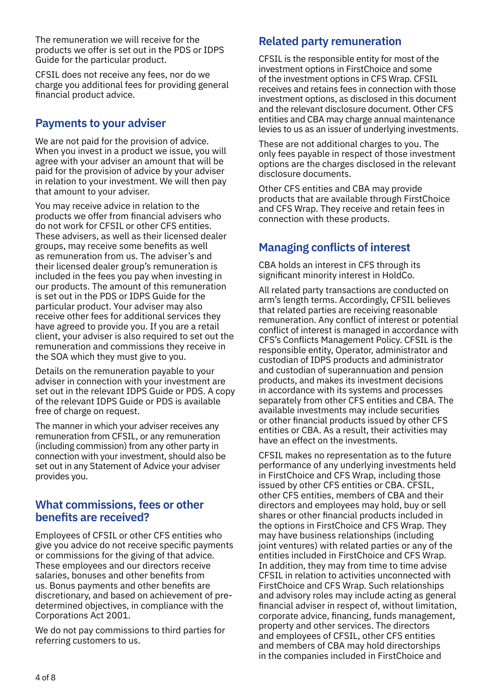The remuneration we will receive for the products we offer is set out in the PDS or IDPS Guide for the particular product.

CFSIL does not receive any fees, nor do we charge you additional fees for providing general financial product advice.

# **Payments to your adviser**

We are not paid for the provision of advice. When you invest in a product we issue, you will agree with your adviser an amount that will be paid for the provision of advice by your adviser in relation to your investment. We will then pay that amount to your adviser.

You may receive advice in relation to the products we offer from financial advisers who do not work for CFSIL or other CFS entities. These advisers, as well as their licensed dealer groups, may receive some benefits as well as remuneration from us. The adviser's and their licensed dealer group's remuneration is included in the fees you pay when investing in our products. The amount of this remuneration is set out in the PDS or IDPS Guide for the particular product. Your adviser may also receive other fees for additional services they have agreed to provide you. If you are a retail client, your adviser is also required to set out the remuneration and commissions they receive in the SOA which they must give to you.

Details on the remuneration payable to your adviser in connection with your investment are set out in the relevant IDPS Guide or PDS. A copy of the relevant IDPS Guide or PDS is available free of charge on request.

The manner in which your adviser receives any remuneration from CFSIL, or any remuneration (including commission) from any other party in connection with your investment, should also be set out in any Statement of Advice your adviser provides you.

## **What commissions, fees or other benefits are received?**

Employees of CFSIL or other CFS entities who give you advice do not receive specific payments or commissions for the giving of that advice. These employees and our directors receive salaries, bonuses and other benefits from us. Bonus payments and other benefits are discretionary, and based on achievement of predetermined objectives, in compliance with the Corporations Act 2001.

We do not pay commissions to third parties for referring customers to us.

# **Related party remuneration**

CFSIL is the responsible entity for most of the investment options in FirstChoice and some of the investment options in CFS Wrap. CFSIL receives and retains fees in connection with those investment options, as disclosed in this document and the relevant disclosure document. Other CFS entities and CBA may charge annual maintenance levies to us as an issuer of underlying investments.

These are not additional charges to you. The only fees payable in respect of those investment options are the charges disclosed in the relevant disclosure documents.

Other CFS entities and CBA may provide products that are available through FirstChoice and CFS Wrap. They receive and retain fees in connection with these products.

# **Managing conflicts of interest**

CBA holds an interest in CFS through its significant minority interest in HoldCo.

All related party transactions are conducted on arm's length terms. Accordingly, CFSIL believes that related parties are receiving reasonable remuneration. Any conflict of interest or potential conflict of interest is managed in accordance with CFS's Conflicts Management Policy. CFSIL is the responsible entity, Operator, administrator and custodian of IDPS products and administrator and custodian of superannuation and pension products, and makes its investment decisions in accordance with its systems and processes separately from other CFS entities and CBA. The available investments may include securities or other financial products issued by other CFS entities or CBA. As a result, their activities may have an effect on the investments.

CFSIL makes no representation as to the future performance of any underlying investments held in FirstChoice and CFS Wrap, including those issued by other CFS entities or CBA. CFSIL, other CFS entities, members of CBA and their directors and employees may hold, buy or sell shares or other financial products included in the options in FirstChoice and CFS Wrap. They may have business relationships (including joint ventures) with related parties or any of the entities included in FirstChoice and CFS Wrap. In addition, they may from time to time advise CFSIL in relation to activities unconnected with FirstChoice and CFS Wrap. Such relationships and advisory roles may include acting as general financial adviser in respect of, without limitation, corporate advice, financing, funds management, property and other services. The directors and employees of CFSIL, other CFS entities and members of CBA may hold directorships in the companies included in FirstChoice and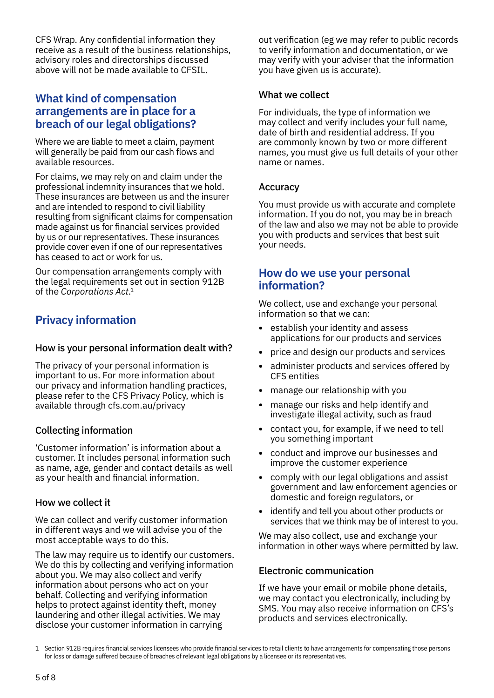CFS Wrap. Any confidential information they receive as a result of the business relationships, advisory roles and directorships discussed above will not be made available to CFSIL.

## **What kind of compensation arrangements are in place for a breach of our legal obligations?**

Where we are liable to meet a claim, payment will generally be paid from our cash flows and available resources.

For claims, we may rely on and claim under the professional indemnity insurances that we hold. These insurances are between us and the insurer and are intended to respond to civil liability resulting from significant claims for compensation made against us for financial services provided by us or our representatives. These insurances provide cover even if one of our representatives has ceased to act or work for us.

Our compensation arrangements comply with the legal requirements set out in section 912B of the *Corporations Act*.1

# **Privacy information**

#### How is your personal information dealt with?

The privacy of your personal information is important to us. For more information about our privacy and information handling practices, please refer to the CFS Privacy Policy, which is available through [cfs.com.au/privacy](http://cfs.com.au/privacy)

#### Collecting information

'Customer information' is information about a customer. It includes personal information such as name, age, gender and contact details as well as your health and financial information.

#### How we collect it

We can collect and verify customer information in different ways and we will advise you of the most acceptable ways to do this.

The law may require us to identify our customers. We do this by collecting and verifying information about you. We may also collect and verify information about persons who act on your behalf. Collecting and verifying information helps to protect against identity theft, money laundering and other illegal activities. We may disclose your customer information in carrying

out verification (eg we may refer to public records to verify information and documentation, or we may verify with your adviser that the information you have given us is accurate).

#### What we collect

For individuals, the type of information we may collect and verify includes your full name, date of birth and residential address. If you are commonly known by two or more different names, you must give us full details of your other name or names.

#### Accuracy

You must provide us with accurate and complete information. If you do not, you may be in breach of the law and also we may not be able to provide you with products and services that best suit your needs.

## **How do we use your personal information?**

We collect, use and exchange your personal information so that we can:

- **•** establish your identity and assess applications for our products and services
- **•** price and design our products and services
- **•** administer products and services offered by CFS entities
- **•** manage our relationship with you
- **•** manage our risks and help identify and investigate illegal activity, such as fraud
- **•** contact you, for example, if we need to tell you something important
- **•** conduct and improve our businesses and improve the customer experience
- **•** comply with our legal obligations and assist government and law enforcement agencies or domestic and foreign regulators, or
- **•** identify and tell you about other products or services that we think may be of interest to you.

We may also collect, use and exchange your information in other ways where permitted by law.

#### Electronic communication

If we have your email or mobile phone details, we may contact you electronically, including by SMS. You may also receive information on CFS's products and services electronically.

<sup>1</sup> Section 912B requires financial services licensees who provide financial services to retail clients to have arrangements for compensating those persons for loss or damage suffered because of breaches of relevant legal obligations by a licensee or its representatives.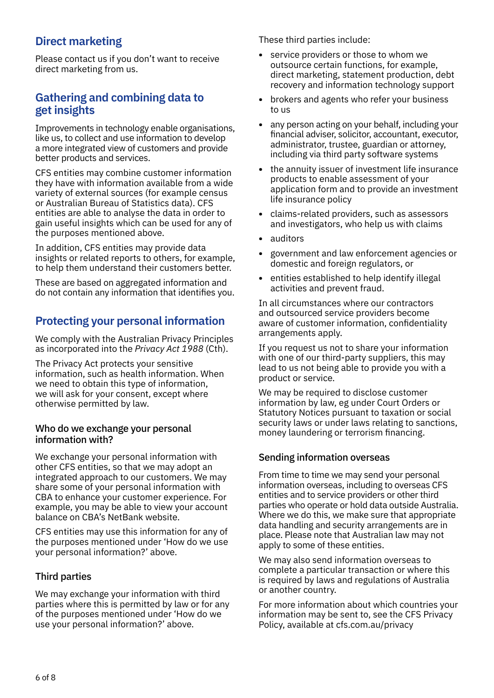# **Direct marketing**

Please contact us if you don't want to receive direct marketing from us.

## **Gathering and combining data to get insights**

Improvements in technology enable organisations, like us, to collect and use information to develop a more integrated view of customers and provide better products and services.

CFS entities may combine customer information they have with information available from a wide variety of external sources (for example census or Australian Bureau of Statistics data). CFS entities are able to analyse the data in order to gain useful insights which can be used for any of the purposes mentioned above.

In addition, CFS entities may provide data insights or related reports to others, for example, to help them understand their customers better.

These are based on aggregated information and do not contain any information that identifies you.

# **Protecting your personal information**

We comply with the Australian Privacy Principles as incorporated into the *Privacy Act 1988* (Cth).

The Privacy Act protects your sensitive information, such as health information. When we need to obtain this type of information, we will ask for your consent, except where otherwise permitted by law.

#### Who do we exchange your personal information with?

We exchange your personal information with other CFS entities, so that we may adopt an integrated approach to our customers. We may share some of your personal information with CBA to enhance your customer experience. For example, you may be able to view your account balance on CBA's NetBank website.

CFS entities may use this information for any of the purposes mentioned under 'How do we use your personal information?' above.

#### Third parties

We may exchange your information with third parties where this is permitted by law or for any of the purposes mentioned under 'How do we use your personal information?' above.

These third parties include:

- **•** service providers or those to whom we outsource certain functions, for example, direct marketing, statement production, debt recovery and information technology support
- **•** brokers and agents who refer your business to us
- **•** any person acting on your behalf, including your financial adviser, solicitor, accountant, executor, administrator, trustee, guardian or attorney, including via third party software systems
- **•** the annuity issuer of investment life insurance products to enable assessment of your application form and to provide an investment life insurance policy
- **•** claims-related providers, such as assessors and investigators, who help us with claims
- **•** auditors
- **•** government and law enforcement agencies or domestic and foreign regulators, or
- **•** entities established to help identify illegal activities and prevent fraud.

In all circumstances where our contractors and outsourced service providers become aware of customer information, confidentiality arrangements apply.

If you request us not to share your information with one of our third-party suppliers, this may lead to us not being able to provide you with a product or service.

We may be required to disclose customer information by law, eg under Court Orders or Statutory Notices pursuant to taxation or social security laws or under laws relating to sanctions, money laundering or terrorism financing.

#### Sending information overseas

From time to time we may send your personal information overseas, including to overseas CFS entities and to service providers or other third parties who operate or hold data outside Australia. Where we do this, we make sure that appropriate data handling and security arrangements are in place. Please note that Australian law may not apply to some of these entities.

We may also send information overseas to complete a particular transaction or where this is required by laws and regulations of Australia or another country.

For more information about which countries your information may be sent to, see the CFS Privacy Policy, available at [cfs.com.au/privacy](http://cfs.com.au/privacy)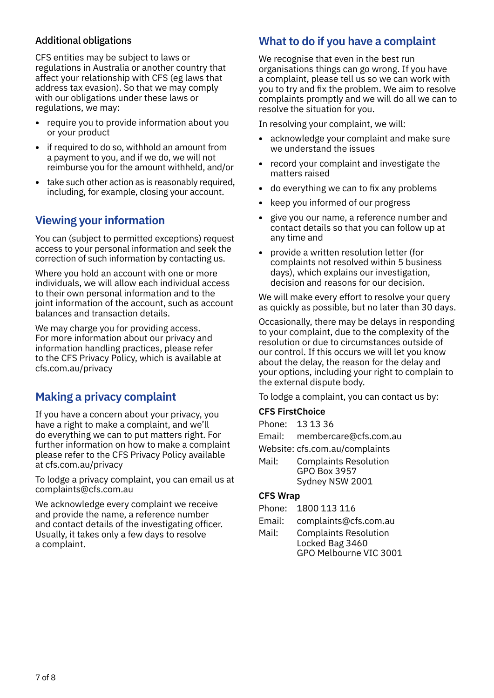## Additional obligations

CFS entities may be subject to laws or regulations in Australia or another country that affect your relationship with CFS (eg laws that address tax evasion). So that we may comply with our obligations under these laws or regulations, we may:

- **•** require you to provide information about you or your product
- **•** if required to do so, withhold an amount from a payment to you, and if we do, we will not reimburse you for the amount withheld, and/or
- take such other action as is reasonably required. including, for example, closing your account.

# **Viewing your information**

You can (subject to permitted exceptions) request access to your personal information and seek the correction of such information by contacting us.

Where you hold an account with one or more individuals, we will allow each individual access to their own personal information and to the joint information of the account, such as account balances and transaction details.

We may charge you for providing access. For more information about our privacy and information handling practices, please refer to the CFS Privacy Policy, which is available at [cfs.com.au/privacy](http://cfs.com.au/privacy)

## **Making a privacy complaint**

If you have a concern about your privacy, you have a right to make a complaint, and we'll do everything we can to put matters right. For further information on how to make a complaint please refer to the CFS Privacy Policy available at [cfs.com.au/privacy](http://cfs.com.au/privacy)

To lodge a privacy complaint, you can email us at complaints@cfs.com.au

We acknowledge every complaint we receive and provide the name, a reference number and contact details of the investigating officer. Usually, it takes only a few days to resolve a complaint.

# **What to do if you have a complaint**

We recognise that even in the best run organisations things can go wrong. If you have a complaint, please tell us so we can work with you to try and fix the problem. We aim to resolve complaints promptly and we will do all we can to resolve the situation for you.

In resolving your complaint, we will:

- **•** acknowledge your complaint and make sure we understand the issues
- **•** record your complaint and investigate the matters raised
- **•** do everything we can to fix any problems
- **•** keep you informed of our progress
- **•** give you our name, a reference number and contact details so that you can follow up at any time and
- **•** provide a written resolution letter (for complaints not resolved within 5 business days), which explains our investigation, decision and reasons for our decision.

We will make every effort to resolve your query as quickly as possible, but no later than 30 days.

Occasionally, there may be delays in responding to your complaint, due to the complexity of the resolution or due to circumstances outside of our control. If this occurs we will let you know about the delay, the reason for the delay and your options, including your right to complain to the external dispute body.

To lodge a complaint, you can contact us by:

#### **CFS FirstChoice**

|         | Phone: 13 13 36  |
|---------|------------------|
| Emril . | mambaranta@afa.a |

- Email: membercare@cfs.com.au
- Website: [cfs.com.au/complaints](http://cfs.com.au/complaints)
- Mail: Complaints Resolution GPO Box 3957 Sydney NSW 2001

#### **CFS Wrap**

- Phone: 1800 113 116
- Email: complaints@cfs.com.au
- Mail: Complaints Resolution Locked Bag 3460 GPO Melbourne VIC 3001